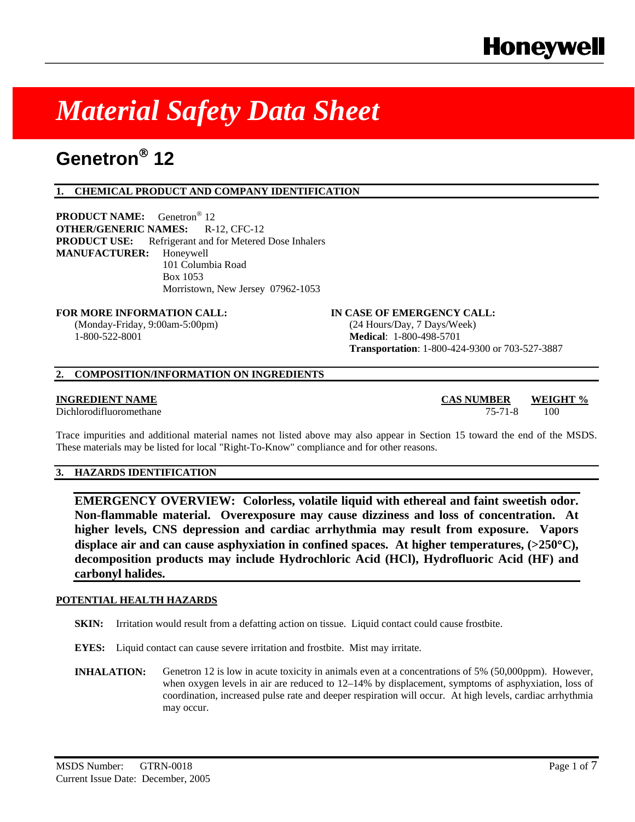# *Material Safety Data Sheet*

# **Genetron**® **12**

## **1. CHEMICAL PRODUCT AND COMPANY IDENTIFICATION**

**PRODUCT NAME:** Genetron® 12 **OTHER/GENERIC NAMES:** R-12, CFC-12 **PRODUCT USE:** Refrigerant and for Metered Dose Inhalers **MANUFACTURER:** Honeywell 101 Columbia Road Box 1053 Morristown, New Jersey 07962-1053

### **FOR MORE INFORMATION CALL: IN CASE OF EMERGENCY CALL:**

(Monday-Friday, 9:00am-5:00pm) 1-800-522-8001

(24 Hours/Day, 7 Days/Week) **Medical**: 1-800-498-5701 **Transportation**: 1-800-424-9300 or 703-527-3887

### **2. COMPOSITION/INFORMATION ON INGREDIENTS**

**INGREDIENT NAME CAS NUMBER WEIGHT %** Dichlorodifluoromethane 75-71-8 100

Trace impurities and additional material names not listed above may also appear in Section 15 toward the end of the MSDS. These materials may be listed for local "Right-To-Know" compliance and for other reasons.

#### **3. HAZARDS IDENTIFICATION**

**EMERGENCY OVERVIEW: Colorless, volatile liquid with ethereal and faint sweetish odor. Non-flammable material. Overexposure may cause dizziness and loss of concentration. At higher levels, CNS depression and cardiac arrhythmia may result from exposure. Vapors displace air and can cause asphyxiation in confined spaces. At higher temperatures, (>250**°**C), decomposition products may include Hydrochloric Acid (HCl), Hydrofluoric Acid (HF) and carbonyl halides.** 

#### **POTENTIAL HEALTH HAZARDS**

**SKIN:** Irritation would result from a defatting action on tissue. Liquid contact could cause frostbite.

**EYES:** Liquid contact can cause severe irritation and frostbite. Mist may irritate.

**INHALATION:** Genetron 12 is low in acute toxicity in animals even at a concentrations of 5% (50,000ppm). However, when oxygen levels in air are reduced to 12–14% by displacement, symptoms of asphyxiation, loss of coordination, increased pulse rate and deeper respiration will occur. At high levels, cardiac arrhythmia may occur.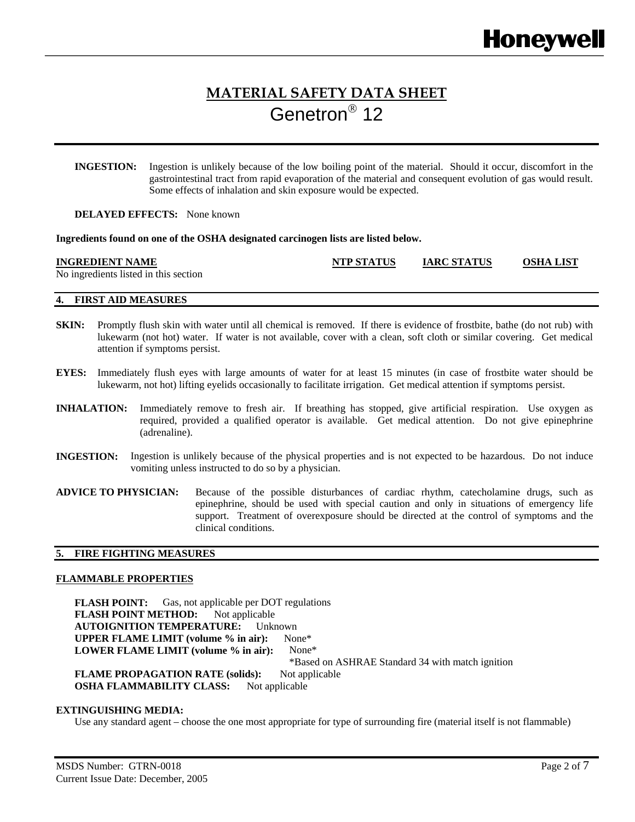**INGESTION:** Ingestion is unlikely because of the low boiling point of the material. Should it occur, discomfort in the gastrointestinal tract from rapid evaporation of the material and consequent evolution of gas would result. Some effects of inhalation and skin exposure would be expected.

**DELAYED EFFECTS:** None known

**Ingredients found on one of the OSHA designated carcinogen lists are listed below.** 

#### **INGREDIENT NAME NTP STATUS IARC STATUS OSHA LIST**

No ingredients listed in this section

**4. FIRST AID MEASURES** 

- **SKIN:** Promptly flush skin with water until all chemical is removed. If there is evidence of frostbite, bathe (do not rub) with lukewarm (not hot) water. If water is not available, cover with a clean, soft cloth or similar covering. Get medical attention if symptoms persist.
- **EYES:** Immediately flush eyes with large amounts of water for at least 15 minutes (in case of frostbite water should be lukewarm, not hot) lifting eyelids occasionally to facilitate irrigation. Get medical attention if symptoms persist.
- **INHALATION:** Immediately remove to fresh air. If breathing has stopped, give artificial respiration. Use oxygen as required, provided a qualified operator is available. Get medical attention. Do not give epinephrine (adrenaline).
- **INGESTION:** Ingestion is unlikely because of the physical properties and is not expected to be hazardous. Do not induce vomiting unless instructed to do so by a physician.
- **ADVICE TO PHYSICIAN:** Because of the possible disturbances of cardiac rhythm, catecholamine drugs, such as epinephrine, should be used with special caution and only in situations of emergency life support. Treatment of overexposure should be directed at the control of symptoms and the clinical conditions.

#### **5. FIRE FIGHTING MEASURES**

#### **FLAMMABLE PROPERTIES**

**FLASH POINT:** Gas, not applicable per DOT regulations **FLASH POINT METHOD:** Not applicable **AUTOIGNITION TEMPERATURE:** Unknown **UPPER FLAME LIMIT (volume % in air):** None\* **LOWER FLAME LIMIT (volume % in air):** None\* \*Based on ASHRAE Standard 34 with match ignition **FLAME PROPAGATION RATE (solids):** Not applicable **OSHA FLAMMABILITY CLASS:** Not applicable

#### **EXTINGUISHING MEDIA:**

Use any standard agent – choose the one most appropriate for type of surrounding fire (material itself is not flammable)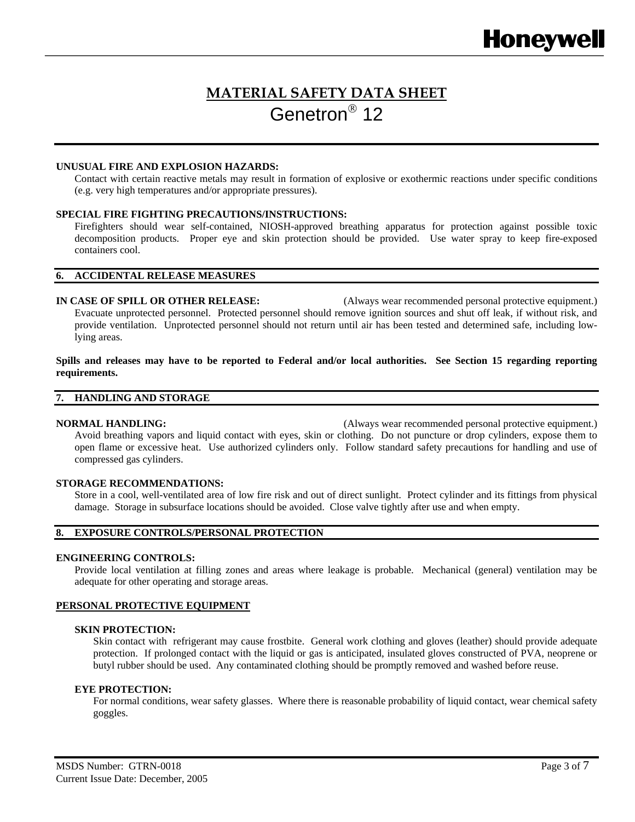#### **UNUSUAL FIRE AND EXPLOSION HAZARDS:**

Contact with certain reactive metals may result in formation of explosive or exothermic reactions under specific conditions (e.g. very high temperatures and/or appropriate pressures).

#### **SPECIAL FIRE FIGHTING PRECAUTIONS/INSTRUCTIONS:**

Firefighters should wear self-contained, NIOSH-approved breathing apparatus for protection against possible toxic decomposition products. Proper eye and skin protection should be provided. Use water spray to keep fire-exposed containers cool.

#### **6. ACCIDENTAL RELEASE MEASURES**

**IN CASE OF SPILL OR OTHER RELEASE:** (Always wear recommended personal protective equipment.) Evacuate unprotected personnel. Protected personnel should remove ignition sources and shut off leak, if without risk, and provide ventilation. Unprotected personnel should not return until air has been tested and determined safe, including lowlying areas.

#### **Spills and releases may have to be reported to Federal and/or local authorities. See Section 15 regarding reporting requirements.**

### **7. HANDLING AND STORAGE**

**NORMAL HANDLING:** (Always wear recommended personal protective equipment.) Avoid breathing vapors and liquid contact with eyes, skin or clothing. Do not puncture or drop cylinders, expose them to open flame or excessive heat. Use authorized cylinders only. Follow standard safety precautions for handling and use of compressed gas cylinders.

#### **STORAGE RECOMMENDATIONS:**

Store in a cool, well-ventilated area of low fire risk and out of direct sunlight. Protect cylinder and its fittings from physical damage. Storage in subsurface locations should be avoided. Close valve tightly after use and when empty.

#### **8. EXPOSURE CONTROLS/PERSONAL PROTECTION**

#### **ENGINEERING CONTROLS:**

Provide local ventilation at filling zones and areas where leakage is probable. Mechanical (general) ventilation may be adequate for other operating and storage areas.

#### **PERSONAL PROTECTIVE EQUIPMENT**

#### **SKIN PROTECTION:**

Skin contact with refrigerant may cause frostbite. General work clothing and gloves (leather) should provide adequate protection. If prolonged contact with the liquid or gas is anticipated, insulated gloves constructed of PVA, neoprene or butyl rubber should be used. Any contaminated clothing should be promptly removed and washed before reuse.

#### **EYE PROTECTION:**

For normal conditions, wear safety glasses. Where there is reasonable probability of liquid contact, wear chemical safety goggles.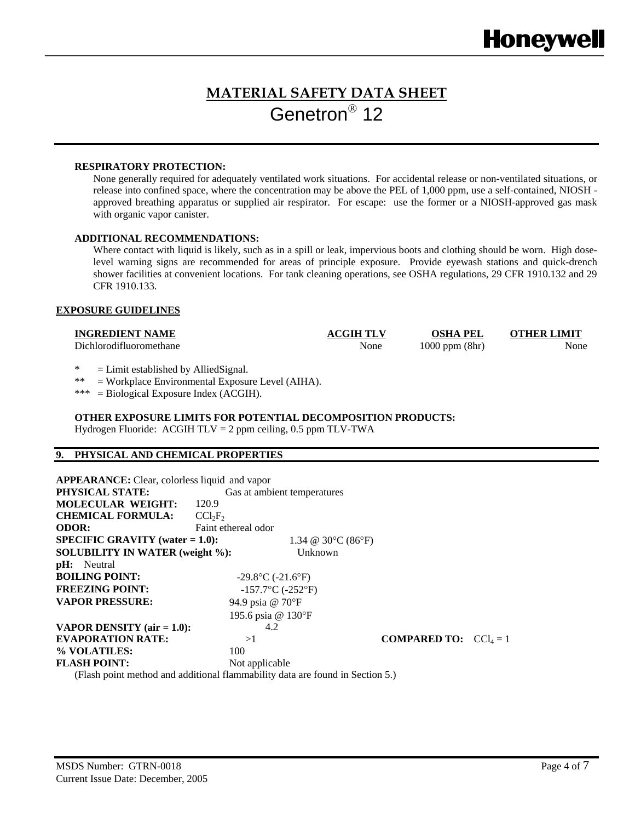# **Honeywell**

## **MATERIAL SAFETY DATA SHEET** Genetron® 12

#### **RESPIRATORY PROTECTION:**

None generally required for adequately ventilated work situations. For accidental release or non-ventilated situations, or release into confined space, where the concentration may be above the PEL of 1,000 ppm, use a self-contained, NIOSH approved breathing apparatus or supplied air respirator. For escape: use the former or a NIOSH-approved gas mask with organic vapor canister.

#### **ADDITIONAL RECOMMENDATIONS:**

Where contact with liquid is likely, such as in a spill or leak, impervious boots and clothing should be worn. High doselevel warning signs are recommended for areas of principle exposure. Provide eyewash stations and quick-drench shower facilities at convenient locations. For tank cleaning operations, see OSHA regulations, 29 CFR 1910.132 and 29 CFR 1910.133.

#### **EXPOSURE GUIDELINES**

| <b>INGREDIENT NAME</b>  | <b>ACGIH TLV</b> | <b>OSHA PEL</b>    | <b>OTHER LIMIT</b> |
|-------------------------|------------------|--------------------|--------------------|
| Dichlorodifluoromethane | None             | $1000$ ppm $(8hr)$ | None               |

\* = Limit established by AlliedSignal.

\*\* = Workplace Environmental Exposure Level (AIHA).

\*\*\* = Biological Exposure Index (ACGIH).

**OTHER EXPOSURE LIMITS FOR POTENTIAL DECOMPOSITION PRODUCTS:** 

Hydrogen Fluoride: ACGIH TLV = 2 ppm ceiling, 0.5 ppm TLV-TWA

#### **9. PHYSICAL AND CHEMICAL PROPERTIES**

| <b>APPEARANCE:</b> Clear, colorless liquid and vapor |                                 |                                                   |                                 |  |
|------------------------------------------------------|---------------------------------|---------------------------------------------------|---------------------------------|--|
| <b>PHYSICAL STATE:</b>                               |                                 | Gas at ambient temperatures                       |                                 |  |
| <b>MOLECULAR WEIGHT:</b>                             | 120.9                           |                                                   |                                 |  |
| <b>CHEMICAL FORMULA:</b>                             | CCl <sub>2</sub> F <sub>2</sub> |                                                   |                                 |  |
| <b>ODOR:</b>                                         | Faint ethereal odor             |                                                   |                                 |  |
| <b>SPECIFIC GRAVITY</b> (water $= 1.0$ ):            |                                 | 1.34 @ 30 $\rm{^{\circ}C}$ (86 $\rm{^{\circ}F}$ ) |                                 |  |
| <b>SOLUBILITY IN WATER (weight %):</b>               |                                 | Unknown                                           |                                 |  |
| <b>pH:</b> Neutral                                   |                                 |                                                   |                                 |  |
| <b>BOILING POINT:</b>                                |                                 | $-29.8$ °C ( $-21.6$ °F)                          |                                 |  |
| <b>FREEZING POINT:</b>                               |                                 | $-157.7$ °C (-252°F)                              |                                 |  |
| <b>VAPOR PRESSURE:</b>                               |                                 | 94.9 psia @ 70°F                                  |                                 |  |
|                                                      |                                 | 195.6 psia @ 130°F                                |                                 |  |
| VAPOR DENSITY $(air = 1.0)$ :                        |                                 | 4.2                                               |                                 |  |
| <b>EVAPORATION RATE:</b>                             | >1                              |                                                   | <b>COMPARED TO:</b> $CCl_4 = 1$ |  |
| % VOLATILES:                                         | 100                             |                                                   |                                 |  |
| <b>FLASH POINT:</b>                                  |                                 | Not applicable                                    |                                 |  |

(Flash point method and additional flammability data are found in Section 5.)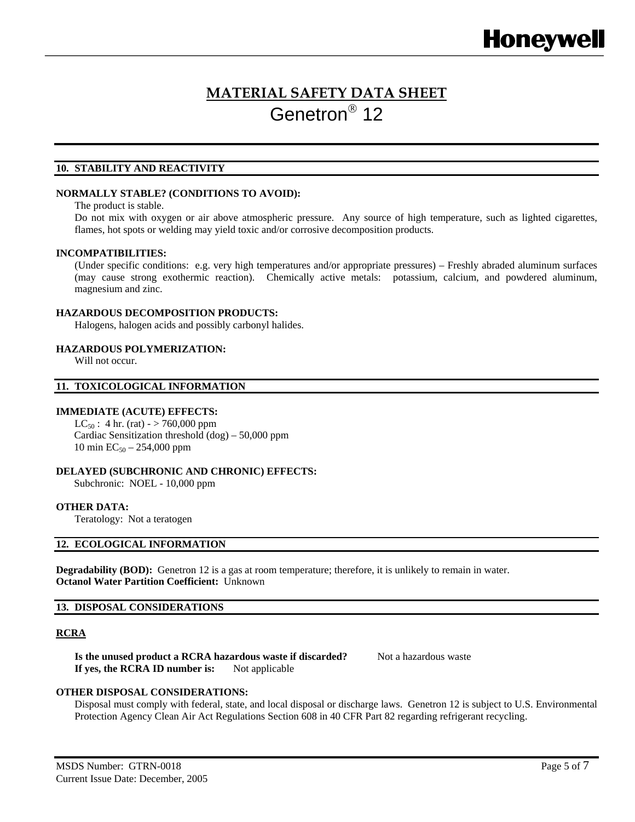#### **10. STABILITY AND REACTIVITY**

#### **NORMALLY STABLE? (CONDITIONS TO AVOID):**

The product is stable.

Do not mix with oxygen or air above atmospheric pressure. Any source of high temperature, such as lighted cigarettes, flames, hot spots or welding may yield toxic and/or corrosive decomposition products.

#### **INCOMPATIBILITIES:**

(Under specific conditions: e.g. very high temperatures and/or appropriate pressures) – Freshly abraded aluminum surfaces (may cause strong exothermic reaction). Chemically active metals: potassium, calcium, and powdered aluminum, magnesium and zinc.

#### **HAZARDOUS DECOMPOSITION PRODUCTS:**

Halogens, halogen acids and possibly carbonyl halides.

#### **HAZARDOUS POLYMERIZATION:**

Will not occur.

#### **11. TOXICOLOGICAL INFORMATION**

#### **IMMEDIATE (ACUTE) EFFECTS:**

 $LC_{50}$ : 4 hr. (rat) - > 760,000 ppm Cardiac Sensitization threshold (dog) – 50,000 ppm 10 min  $EC_{50} - 254,000$  ppm

#### **DELAYED (SUBCHRONIC AND CHRONIC) EFFECTS:**

Subchronic: NOEL - 10,000 ppm

#### **OTHER DATA:**

Teratology: Not a teratogen

#### **12. ECOLOGICAL INFORMATION**

**Degradability (BOD):** Genetron 12 is a gas at room temperature; therefore, it is unlikely to remain in water. **Octanol Water Partition Coefficient:** Unknown

#### **13. DISPOSAL CONSIDERATIONS**

#### **RCRA**

**Is the unused product a RCRA hazardous waste if discarded?** Not a hazardous waste **If yes, the RCRA ID number is:** Not applicable

#### **OTHER DISPOSAL CONSIDERATIONS:**

Disposal must comply with federal, state, and local disposal or discharge laws. Genetron 12 is subject to U.S. Environmental Protection Agency Clean Air Act Regulations Section 608 in 40 CFR Part 82 regarding refrigerant recycling.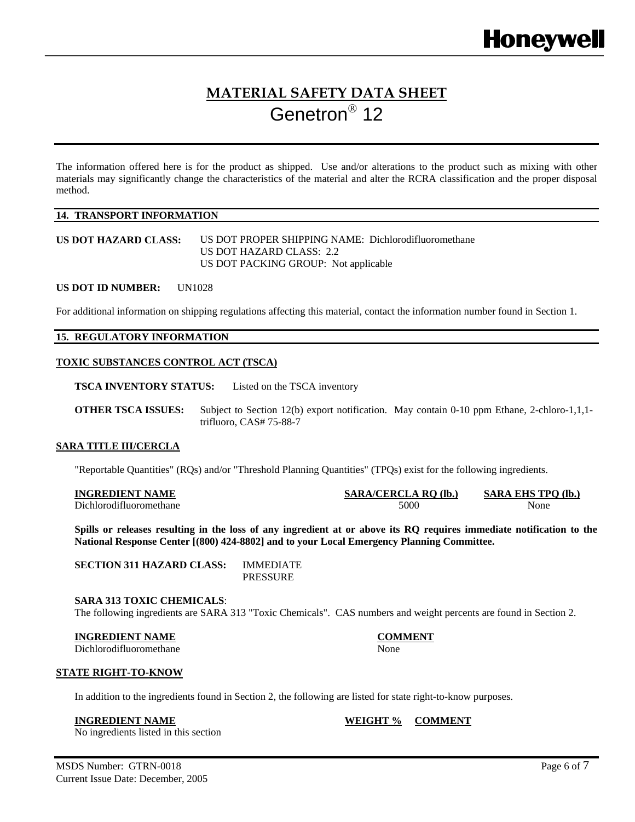The information offered here is for the product as shipped. Use and/or alterations to the product such as mixing with other materials may significantly change the characteristics of the material and alter the RCRA classification and the proper disposal method.

#### **14. TRANSPORT INFORMATION**

**US DOT HAZARD CLASS:** US DOT PROPER SHIPPING NAME: Dichlorodifluoromethane US DOT HAZARD CLASS: 2.2 US DOT PACKING GROUP: Not applicable

#### **US DOT ID NUMBER:** UN1028

For additional information on shipping regulations affecting this material, contact the information number found in Section 1.

#### **15. REGULATORY INFORMATION**

#### **TOXIC SUBSTANCES CONTROL ACT (TSCA)**

**TSCA INVENTORY STATUS:** Listed on the TSCA inventory

**OTHER TSCA ISSUES:** Subject to Section 12(b) export notification. May contain 0-10 ppm Ethane, 2-chloro-1,1,1trifluoro, CAS# 75-88-7

#### **SARA TITLE III/CERCLA**

"Reportable Quantities" (RQs) and/or "Threshold Planning Quantities" (TPQs) exist for the following ingredients.

| <b>INGREDIENT NAME</b>  | <b>SARA/CERCLA RO (lb.)</b> | <b>SARA EHS TPO (lb.)</b> |
|-------------------------|-----------------------------|---------------------------|
| Dichlorodifluoromethane | 5000                        | None                      |

**Spills or releases resulting in the loss of any ingredient at or above its RQ requires immediate notification to the National Response Center [(800) 424-8802] and to your Local Emergency Planning Committee.** 

**SECTION 311 HAZARD CLASS:** IMMEDIATE PRESSURE

#### **SARA 313 TOXIC CHEMICALS**:

The following ingredients are SARA 313 "Toxic Chemicals". CAS numbers and weight percents are found in Section 2.

#### **INGREDIENT NAME COMMENT**

Dichlorodifluoromethane None None

#### **STATE RIGHT-TO-KNOW**

In addition to the ingredients found in Section 2, the following are listed for state right-to-know purposes.

#### **INGREDIENT NAME WEIGHT % COMMENT**

No ingredients listed in this section

#### MSDS Number: GTRN-0018 Page 6 of 7 Current Issue Date: December, 2005